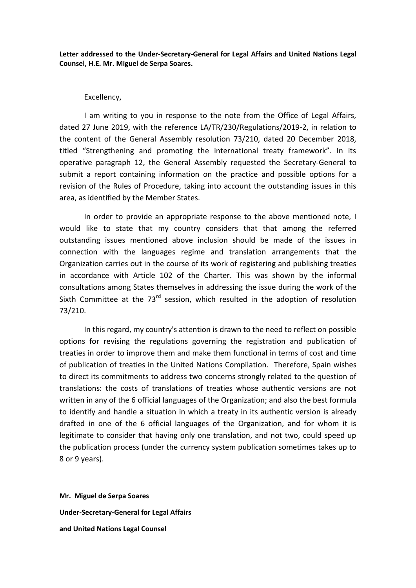**Letter addressed to the Under-Secretary-General for Legal Affairs and United Nations Legal Counsel, H.E. Mr. Miguel de Serpa Soares.**

## Excellency,

I am writing to you in response to the note from the Office of Legal Affairs, dated 27 June 2019, with the reference LA/TR/230/Regulations/2019-2, in relation to the content of the General Assembly resolution 73/210, dated 20 December 2018, titled "Strengthening and promoting the international treaty framework". In its operative paragraph 12, the General Assembly requested the Secretary-General to submit a report containing information on the practice and possible options for a revision of the Rules of Procedure, taking into account the outstanding issues in this area, as identified by the Member States.

In order to provide an appropriate response to the above mentioned note, I would like to state that my country considers that that among the referred outstanding issues mentioned above inclusion should be made of the issues in connection with the languages regime and translation arrangements that the Organization carries out in the course of its work of registering and publishing treaties in accordance with Article 102 of the Charter. This was shown by the informal consultations among States themselves in addressing the issue during the work of the Sixth Committee at the  $73^{rd}$  session, which resulted in the adoption of resolution 73/210.

In this regard, my country's attention is drawn to the need to reflect on possible options for revising the regulations governing the registration and publication of treaties in order to improve them and make them functional in terms of cost and time of publication of treaties in the United Nations Compilation. Therefore, Spain wishes to direct its commitments to address two concerns strongly related to the question of translations: the costs of translations of treaties whose authentic versions are not written in any of the 6 official languages of the Organization; and also the best formula to identify and handle a situation in which a treaty in its authentic version is already drafted in one of the 6 official languages of the Organization, and for whom it is legitimate to consider that having only one translation, and not two, could speed up the publication process (under the currency system publication sometimes takes up to 8 or 9 years).

**Mr. Miguel de Serpa Soares Under-Secretary-General for Legal Affairs and United Nations Legal Counsel**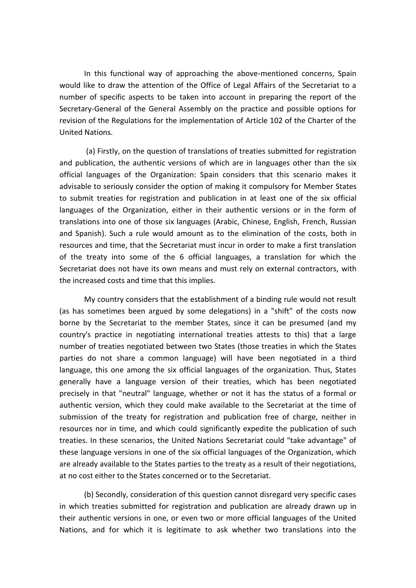In this functional way of approaching the above-mentioned concerns, Spain would like to draw the attention of the Office of Legal Affairs of the Secretariat to a number of specific aspects to be taken into account in preparing the report of the Secretary-General of the General Assembly on the practice and possible options for revision of the Regulations for the implementation of Article 102 of the Charter of the United Nations.

(a) Firstly, on the question of translations of treaties submitted for registration and publication, the authentic versions of which are in languages other than the six official languages of the Organization: Spain considers that this scenario makes it advisable to seriously consider the option of making it compulsory for Member States to submit treaties for registration and publication in at least one of the six official languages of the Organization, either in their authentic versions or in the form of translations into one of those six languages (Arabic, Chinese, English, French, Russian and Spanish). Such a rule would amount as to the elimination of the costs, both in resources and time, that the Secretariat must incur in order to make a first translation of the treaty into some of the 6 official languages, a translation for which the Secretariat does not have its own means and must rely on external contractors, with the increased costs and time that this implies.

My country considers that the establishment of a binding rule would not result (as has sometimes been argued by some delegations) in a "shift" of the costs now borne by the Secretariat to the member States, since it can be presumed (and my country's practice in negotiating international treaties attests to this) that a large number of treaties negotiated between two States (those treaties in which the States parties do not share a common language) will have been negotiated in a third language, this one among the six official languages of the organization. Thus, States generally have a language version of their treaties, which has been negotiated precisely in that "neutral" language, whether or not it has the status of a formal or authentic version, which they could make available to the Secretariat at the time of submission of the treaty for registration and publication free of charge, neither in resources nor in time, and which could significantly expedite the publication of such treaties. In these scenarios, the United Nations Secretariat could "take advantage" of these language versions in one of the six official languages of the Organization, which are already available to the States parties to the treaty as a result of their negotiations, at no cost either to the States concerned or to the Secretariat.

(b) Secondly, consideration of this question cannot disregard very specific cases in which treaties submitted for registration and publication are already drawn up in their authentic versions in one, or even two or more official languages of the United Nations, and for which it is legitimate to ask whether two translations into the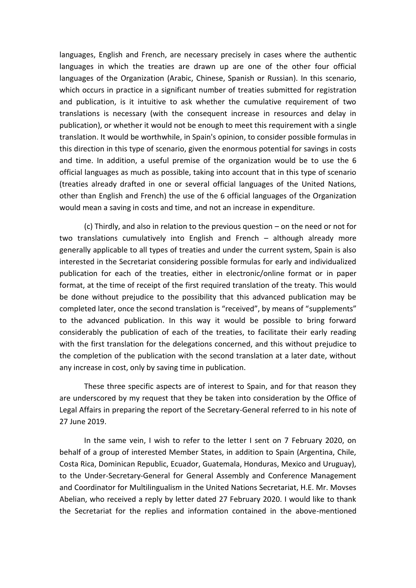languages, English and French, are necessary precisely in cases where the authentic languages in which the treaties are drawn up are one of the other four official languages of the Organization (Arabic, Chinese, Spanish or Russian). In this scenario, which occurs in practice in a significant number of treaties submitted for registration and publication, is it intuitive to ask whether the cumulative requirement of two translations is necessary (with the consequent increase in resources and delay in publication), or whether it would not be enough to meet this requirement with a single translation. It would be worthwhile, in Spain's opinion, to consider possible formulas in this direction in this type of scenario, given the enormous potential for savings in costs and time. In addition, a useful premise of the organization would be to use the 6 official languages as much as possible, taking into account that in this type of scenario (treaties already drafted in one or several official languages of the United Nations, other than English and French) the use of the 6 official languages of the Organization would mean a saving in costs and time, and not an increase in expenditure.

(c) Thirdly, and also in relation to the previous question – on the need or not for two translations cumulatively into English and French – although already more generally applicable to all types of treaties and under the current system, Spain is also interested in the Secretariat considering possible formulas for early and individualized publication for each of the treaties, either in electronic/online format or in paper format, at the time of receipt of the first required translation of the treaty. This would be done without prejudice to the possibility that this advanced publication may be completed later, once the second translation is "received", by means of "supplements" to the advanced publication. In this way it would be possible to bring forward considerably the publication of each of the treaties, to facilitate their early reading with the first translation for the delegations concerned, and this without prejudice to the completion of the publication with the second translation at a later date, without any increase in cost, only by saving time in publication.

These three specific aspects are of interest to Spain, and for that reason they are underscored by my request that they be taken into consideration by the Office of Legal Affairs in preparing the report of the Secretary-General referred to in his note of 27 June 2019.

In the same vein, I wish to refer to the letter I sent on 7 February 2020, on behalf of a group of interested Member States, in addition to Spain (Argentina, Chile, Costa Rica, Dominican Republic, Ecuador, Guatemala, Honduras, Mexico and Uruguay), to the Under-Secretary-General for General Assembly and Conference Management and Coordinator for Multilingualism in the United Nations Secretariat, H.E. Mr. Movses Abelian, who received a reply by letter dated 27 February 2020. I would like to thank the Secretariat for the replies and information contained in the above-mentioned